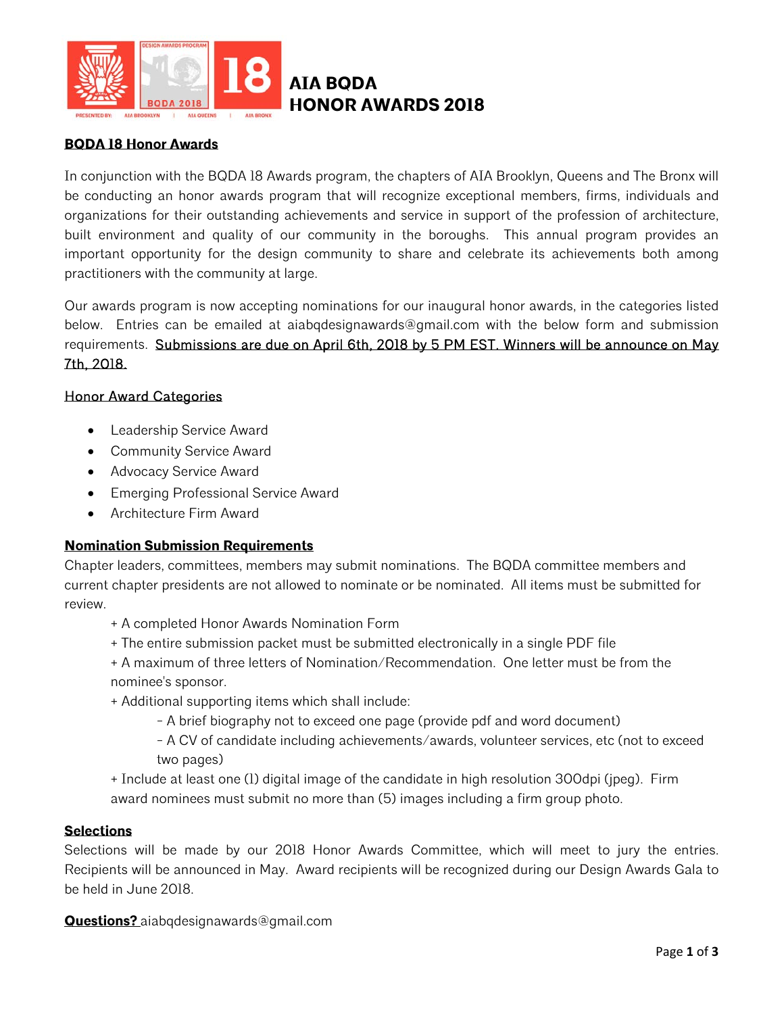

## **BQDA 18 Honor Awards**

In conjunction with the BQDA 18 Awards program, the chapters of AIA Brooklyn, Queens and The Bronx will be conducting an honor awards program that will recognize exceptional members, firms, individuals and organizations for their outstanding achievements and service in support of the profession of architecture, built environment and quality of our community in the boroughs. This annual program provides an important opportunity for the design community to share and celebrate its achievements both among practitioners with the community at large.

Our awards program is now accepting nominations for our inaugural honor awards, in the categories listed below. Entries can be emailed at aiabqdesignawards@gmail.com with the below form and submission requirements. Submissions are due on April 6th, 2018 by 5 PM EST. Winners will be announce on May 7th, 2018.

## Honor Award Categories

- Leadership Service Award
- Community Service Award
- Advocacy Service Award
- Emerging Professional Service Award
- Architecture Firm Award

## **Nomination Submission Requirements**

Chapter leaders, committees, members may submit nominations. The BQDA committee members and current chapter presidents are not allowed to nominate or be nominated. All items must be submitted for review.

- + A completed Honor Awards Nomination Form
- + The entire submission packet must be submitted electronically in a single PDF file
- + A maximum of three letters of Nomination/Recommendation. One letter must be from the nominee's sponsor.
- + Additional supporting items which shall include:
	- A brief biography not to exceed one page (provide pdf and word document)
	- A CV of candidate including achievements/awards, volunteer services, etc (not to exceed two pages)
- + Include at least one (1) digital image of the candidate in high resolution 300dpi (jpeg). Firm award nominees must submit no more than (5) images including a firm group photo.

## **Selections**

Selections will be made by our 2018 Honor Awards Committee, which will meet to jury the entries. Recipients will be announced in May. Award recipients will be recognized during our Design Awards Gala to be held in June 2018.

**Questions?** aiabqdesignawards@gmail.com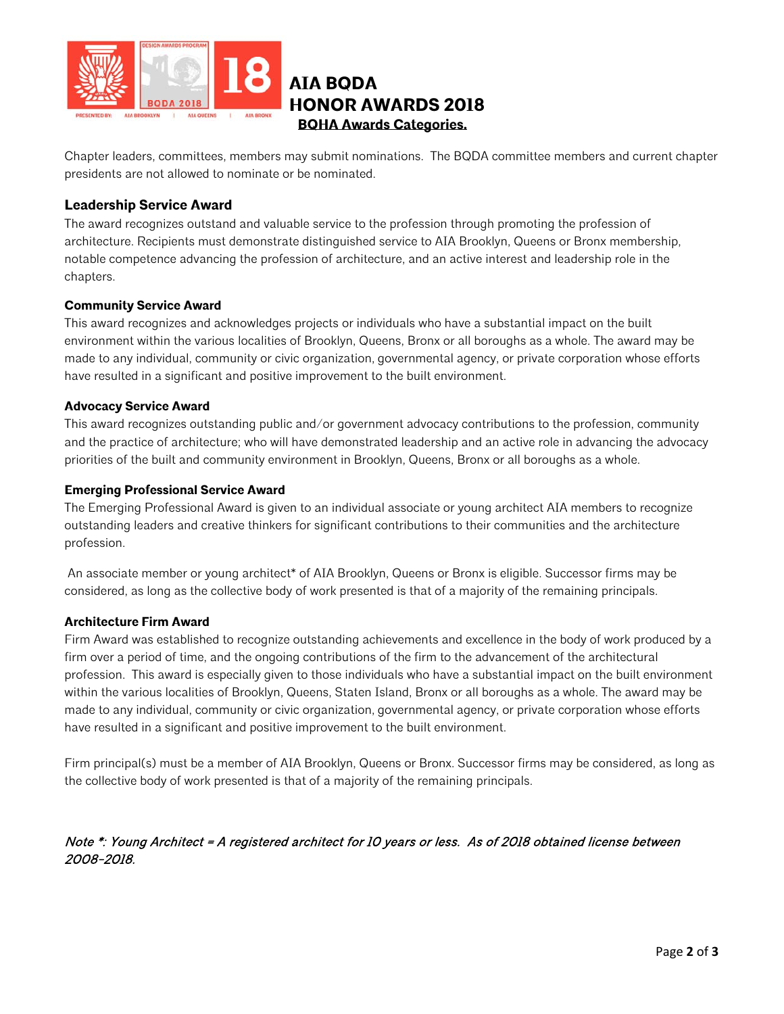

## **AIA BQDA HONOR AWARDS 2018 BQHA Awards Categories.**

Chapter leaders, committees, members may submit nominations. The BQDA committee members and current chapter presidents are not allowed to nominate or be nominated.

## **Leadership Service Award**

The award recognizes outstand and valuable service to the profession through promoting the profession of architecture. Recipients must demonstrate distinguished service to AIA Brooklyn, Queens or Bronx membership, notable competence advancing the profession of architecture, and an active interest and leadership role in the chapters.

## **Community Service Award**

This award recognizes and acknowledges projects or individuals who have a substantial impact on the built environment within the various localities of Brooklyn, Queens, Bronx or all boroughs as a whole. The award may be made to any individual, community or civic organization, governmental agency, or private corporation whose efforts have resulted in a significant and positive improvement to the built environment.

#### **Advocacy Service Award**

This award recognizes outstanding public and/or government advocacy contributions to the profession, community and the practice of architecture; who will have demonstrated leadership and an active role in advancing the advocacy priorities of the built and community environment in Brooklyn, Queens, Bronx or all boroughs as a whole.

#### **Emerging Professional Service Award**

The Emerging Professional Award is given to an individual associate or young architect AIA members to recognize outstanding leaders and creative thinkers for significant contributions to their communities and the architecture profession.

 An associate member or young architect\* of AIA Brooklyn, Queens or Bronx is eligible. Successor firms may be considered, as long as the collective body of work presented is that of a majority of the remaining principals.

## **Architecture Firm Award**

Firm Award was established to recognize outstanding achievements and excellence in the body of work produced by a firm over a period of time, and the ongoing contributions of the firm to the advancement of the architectural profession. This award is especially given to those individuals who have a substantial impact on the built environment within the various localities of Brooklyn, Queens, Staten Island, Bronx or all boroughs as a whole. The award may be made to any individual, community or civic organization, governmental agency, or private corporation whose efforts have resulted in a significant and positive improvement to the built environment.

Firm principal(s) must be a member of AIA Brooklyn, Queens or Bronx. Successor firms may be considered, as long as the collective body of work presented is that of a majority of the remaining principals.

## Note \*: Young Architect = A registered architect for 10 years or less. As of 2018 obtained license between 2008-2018.